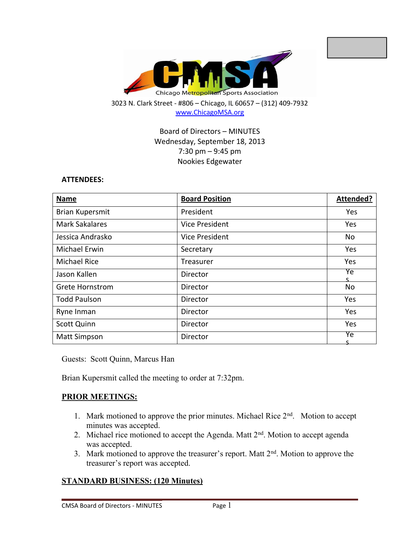

Board of Directors – MINUTES Wednesday, September 18, 2013 7:30 pm – 9:45 pm Nookies Edgewater

### **ATTENDEES:**

| <b>Name</b>            | <b>Board Position</b> | Attended? |
|------------------------|-----------------------|-----------|
| <b>Brian Kupersmit</b> | President             | Yes       |
| <b>Mark Sakalares</b>  | Vice President        | Yes       |
| Jessica Andrasko       | Vice President        | No        |
| Michael Erwin          | Secretary             | Yes       |
| <b>Michael Rice</b>    | Treasurer             | Yes       |
| Jason Kallen           | Director              | Ye        |
| <b>Grete Hornstrom</b> | Director              | No        |
| <b>Todd Paulson</b>    | Director              | Yes       |
| Ryne Inman             | Director              | Yes       |
| <b>Scott Quinn</b>     | Director              | Yes       |
| <b>Matt Simpson</b>    | Director              | Ye        |

Guests: Scott Quinn, Marcus Han

Brian Kupersmit called the meeting to order at 7:32pm.

## **PRIOR MEETINGS:**

- 1. Mark motioned to approve the prior minutes. Michael Rice 2nd . Motion to accept minutes was accepted.
- 2. Michael rice motioned to accept the Agenda. Matt 2<sup>nd</sup>. Motion to accept agenda was accepted.
- 3. Mark motioned to approve the treasurer's report. Matt 2<sup>nd</sup>. Motion to approve the treasurer's report was accepted.

## **STANDARD BUSINESS: (120 Minutes)**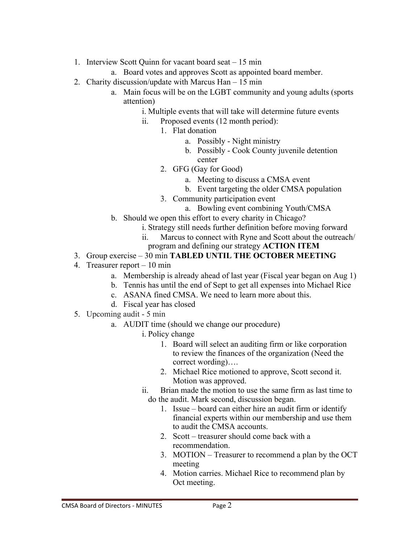- 1. Interview Scott Quinn for vacant board seat 15 min
	- a. Board votes and approves Scott as appointed board member.
- 2. Charity discussion/update with Marcus Han 15 min
	- a. Main focus will be on the LGBT community and young adults (sports attention)
		- i. Multiple events that will take will determine future events
			- ii. Proposed events (12 month period):
				- 1. Flat donation
					- a. Possibly Night ministry
					- b. Possibly Cook County juvenile detention center
				- 2. GFG (Gay for Good)
					- a. Meeting to discuss a CMSA event
					- b. Event targeting the older CMSA population
				- 3. Community participation event
					- a. Bowling event combining Youth/CMSA
	- b. Should we open this effort to every charity in Chicago?
		- i. Strategy still needs further definition before moving forward
		- ii. Marcus to connect with Ryne and Scott about the outreach/
		- program and defining our strategy **ACTION ITEM**
- 3. Group exercise 30 min **TABLED UNTIL THE OCTOBER MEETING**
- 4. Treasurer report 10 min
	- a. Membership is already ahead of last year (Fiscal year began on Aug 1)
	- b. Tennis has until the end of Sept to get all expenses into Michael Rice
	- c. ASANA fined CMSA. We need to learn more about this.
	- d. Fiscal year has closed
- 5. Upcoming audit 5 min
	- a. AUDIT time (should we change our procedure)
		- i. Policy change
			- 1. Board will select an auditing firm or like corporation to review the finances of the organization (Need the correct wording)….
			- 2. Michael Rice motioned to approve, Scott second it. Motion was approved.
		- ii. Brian made the motion to use the same firm as last time to do the audit. Mark second, discussion began.
			- 1. Issue board can either hire an audit firm or identify financial experts within our membership and use them to audit the CMSA accounts.
			- 2. Scott treasurer should come back with a recommendation.
			- 3. MOTION Treasurer to recommend a plan by the OCT meeting
			- 4. Motion carries. Michael Rice to recommend plan by Oct meeting.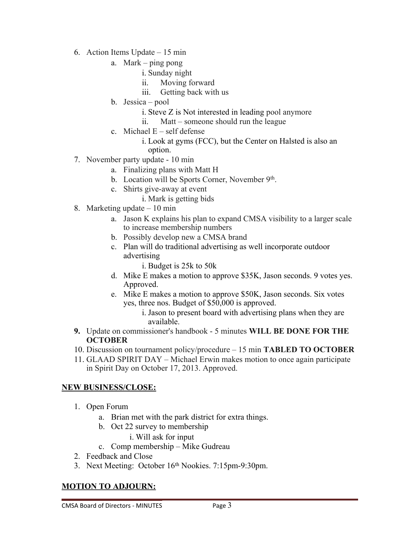- 6. Action Items Update 15 min
	- a. Mark ping pong
		- i. Sunday night
		- ii. Moving forward
		- iii. Getting back with us
	- b. Jessica pool
		- i. Steve Z is Not interested in leading pool anymore
		- ii. Matt someone should run the league
	- c. Michael  $E$  self defense
		- i. Look at gyms (FCC), but the Center on Halsted is also an option.
- 7. November party update 10 min
	- a. Finalizing plans with Matt H
	- b. Location will be Sports Corner, November 9th.
	- c. Shirts give-away at event
		- i. Mark is getting bids
- 8. Marketing update 10 min
	- a. Jason K explains his plan to expand CMSA visibility to a larger scale to increase membership numbers
	- b. Possibly develop new a CMSA brand
	- c. Plan will do traditional advertising as well incorporate outdoor advertising
		- i. Budget is 25k to 50k
	- d. Mike E makes a motion to approve \$35K, Jason seconds. 9 votes yes. Approved.
	- e. Mike E makes a motion to approve \$50K, Jason seconds. Six votes yes, three nos. Budget of \$50,000 is approved.
		- i. Jason to present board with advertising plans when they are available.
- **9.** Update on commissioner's handbook 5 minutes **WILL BE DONE FOR THE OCTOBER**
- 10. Discussion on tournament policy/procedure 15 min **TABLED TO OCTOBER**
- 11. GLAAD SPIRIT DAY Michael Erwin makes motion to once again participate in Spirit Day on October 17, 2013. Approved.

# **NEW BUSINESS/CLOSE:**

- 1. Open Forum
	- a. Brian met with the park district for extra things.
	- b. Oct 22 survey to membership
		- i. Will ask for input
	- c. Comp membership Mike Gudreau
- 2. Feedback and Close
- 3. Next Meeting: October 16th Nookies. 7:15pm-9:30pm.

# **MOTION TO ADJOURN:**